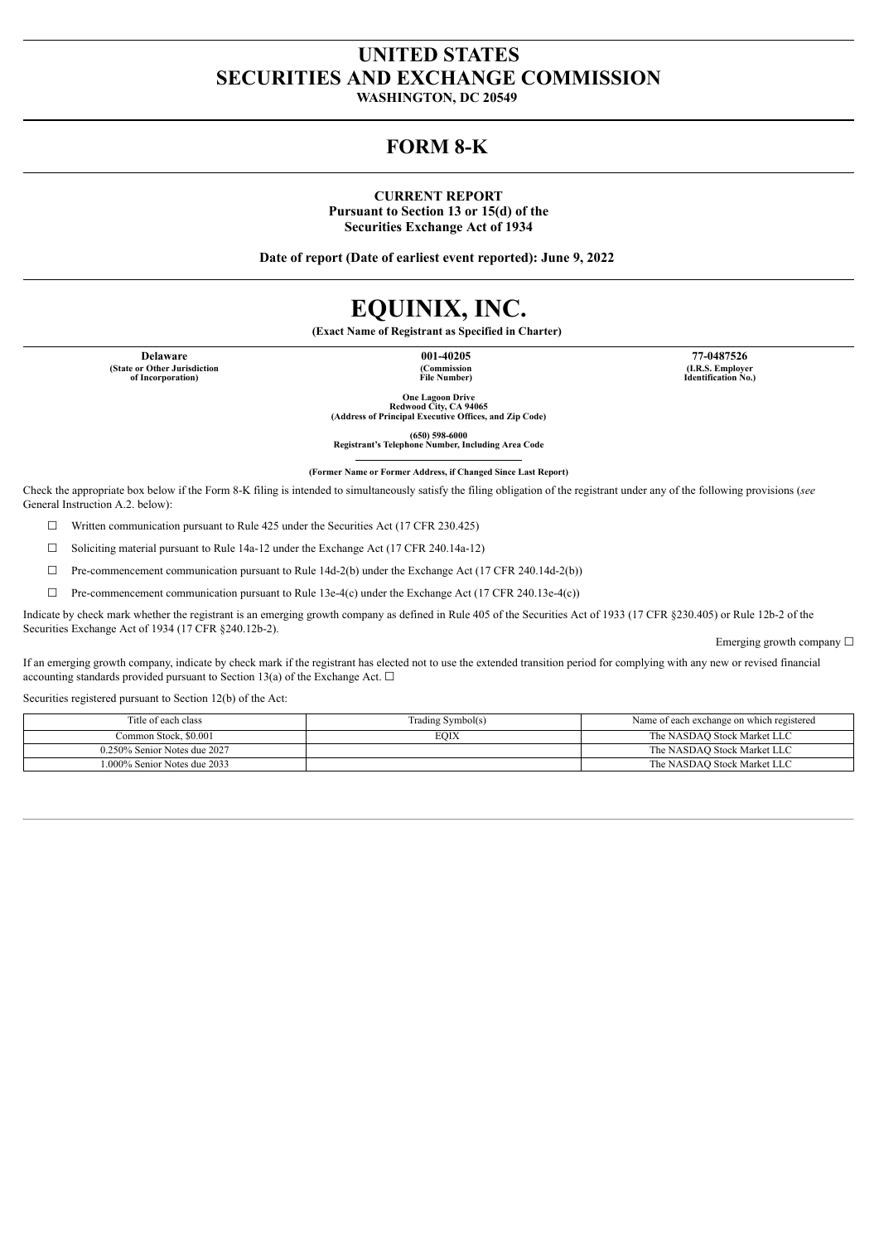## **UNITED STATES SECURITIES AND EXCHANGE COMMISSION**

**WASHINGTON, DC 20549**

### **FORM 8-K**

**CURRENT REPORT**

**Pursuant to Section 13 or 15(d) of the**

**Securities Exchange Act of 1934**

**Date of report (Date of earliest event reported): June 9, 2022**

# **EQUINIX, INC.**

**(Exact Name of Registrant as Specified in Charter)**

**Delaware 001-40205 77-0487526 (State or Other Jurisdiction of Incorporation)**

**(Commission File Number)**

**(I.R.S. Employer Identification No.)**

**One Lagoon Drive Redwood City, CA 94065 (Address of Principal Executive Offices, and Zip Code)**

**(650) 598-6000**

**Registrant's Telephone Number, Including Area Code**

**(Former Name or Former Address, if Changed Since Last Report)**

Check the appropriate box below if the Form 8-K filing is intended to simultaneously satisfy the filing obligation of the registrant under any of the following provisions (*see* General Instruction A.2. below):

☐ Written communication pursuant to Rule 425 under the Securities Act (17 CFR 230.425)

☐ Soliciting material pursuant to Rule 14a-12 under the Exchange Act (17 CFR 240.14a-12)

☐ Pre-commencement communication pursuant to Rule 14d-2(b) under the Exchange Act (17 CFR 240.14d-2(b))

 $\Box$  Pre-commencement communication pursuant to Rule 13e-4(c) under the Exchange Act (17 CFR 240.13e-4(c))

Indicate by check mark whether the registrant is an emerging growth company as defined in Rule 405 of the Securities Act of 1933 (17 CFR §230.405) or Rule 12b-2 of the Securities Exchange Act of 1934 (17 CFR §240.12b-2).

Emerging growth company  $\Box$ 

If an emerging growth company, indicate by check mark if the registrant has elected not to use the extended transition period for complying with any new or revised financial accounting standards provided pursuant to Section 13(a) of the Exchange Act.  $\Box$ 

Securities registered pursuant to Section 12(b) of the Act:

| Title of each class          | Trading Symbol(s) | Name of each exchange on which registered |
|------------------------------|-------------------|-------------------------------------------|
| Common Stock, \$0,001        | EOIX              | The NASDAQ Stock Market LLC               |
| 0.250% Senior Notes due 2027 |                   | The NASDAO Stock Market LLC               |
| 1.000% Senior Notes due 2033 |                   | The NASDAO Stock Market LLC               |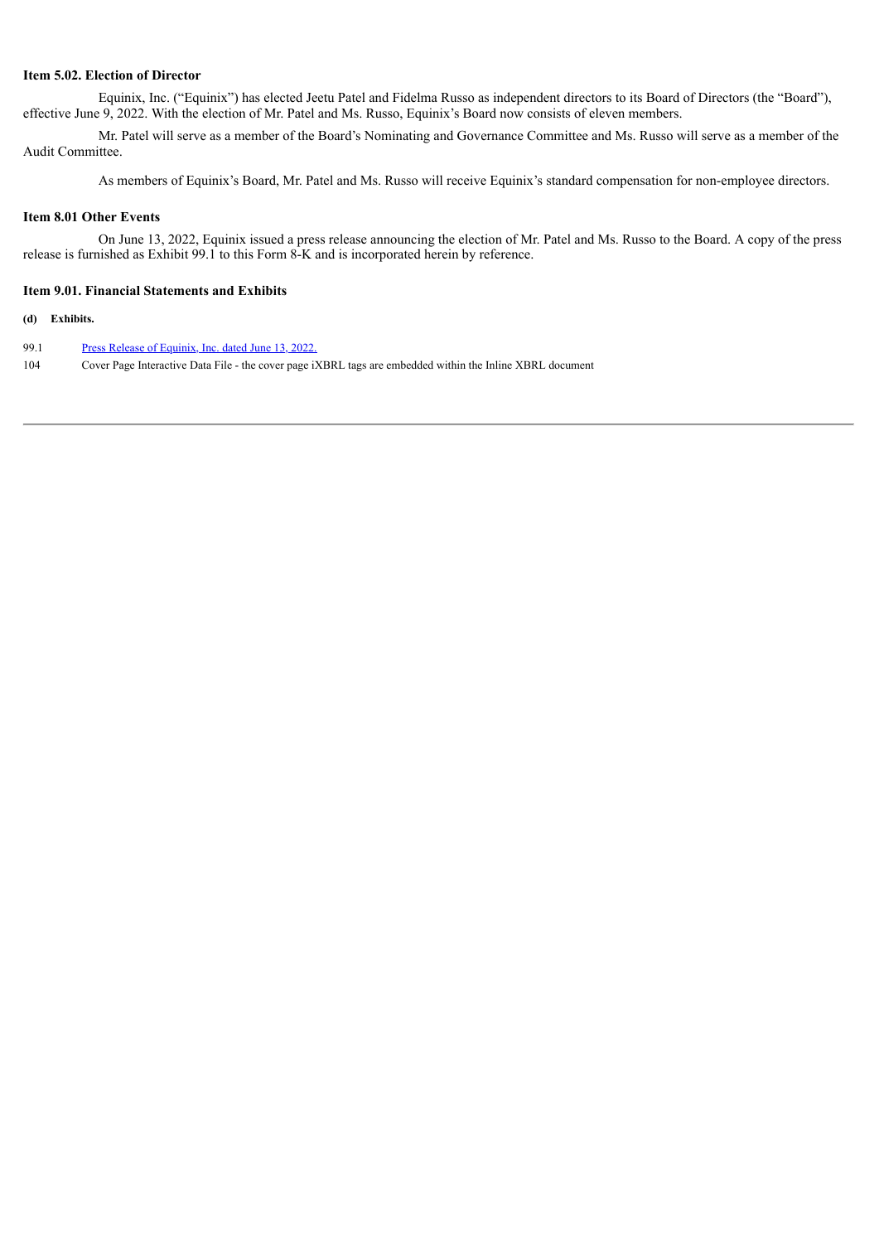#### **Item 5.02. Election of Director**

Equinix, Inc. ("Equinix") has elected Jeetu Patel and Fidelma Russo as independent directors to its Board of Directors (the "Board"), effective June 9, 2022. With the election of Mr. Patel and Ms. Russo, Equinix's Board now consists of eleven members.

Mr. Patel will serve as a member of the Board's Nominating and Governance Committee and Ms. Russo will serve as a member of the Audit Committee.

As members of Equinix's Board, Mr. Patel and Ms. Russo will receive Equinix's standard compensation for non-employee directors.

#### **Item 8.01 Other Events**

On June 13, 2022, Equinix issued a press release announcing the election of Mr. Patel and Ms. Russo to the Board. A copy of the press release is furnished as Exhibit 99.1 to this Form 8-K and is incorporated herein by reference.

#### **Item 9.01. Financial Statements and Exhibits**

#### **(d) Exhibits.**

- 99.1 Press Release of [Equinix,](#page-3-0) Inc. dated June 13, 2022.
- 104 Cover Page Interactive Data File the cover page iXBRL tags are embedded within the Inline XBRL document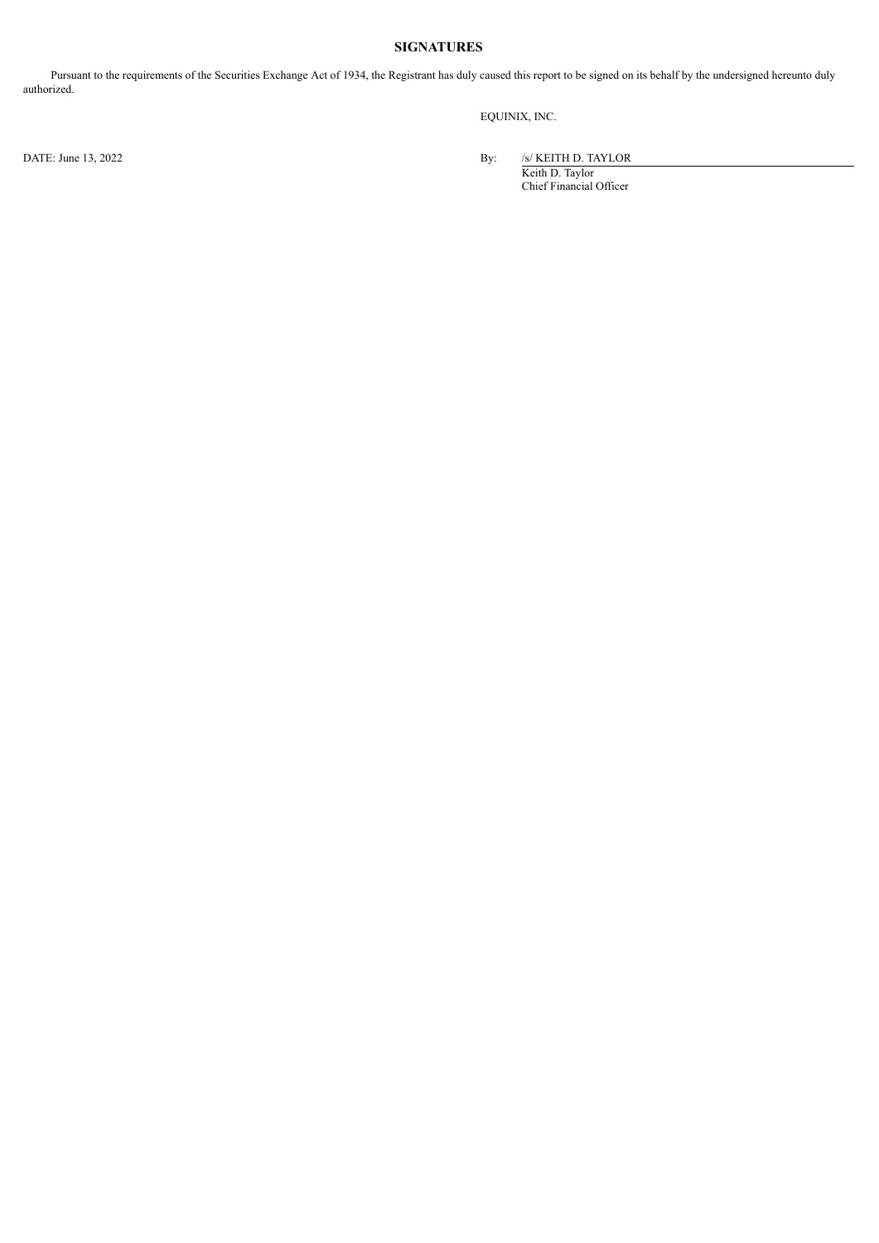#### **SIGNATURES**

Pursuant to the requirements of the Securities Exchange Act of 1934, the Registrant has duly caused this report to be signed on its behalf by the undersigned hereunto duly authorized.

EQUINIX, INC.

DATE: June 13, 2022 By: /s/ KEITH D. TAYLOR

Keith D. Taylor Chief Financial Officer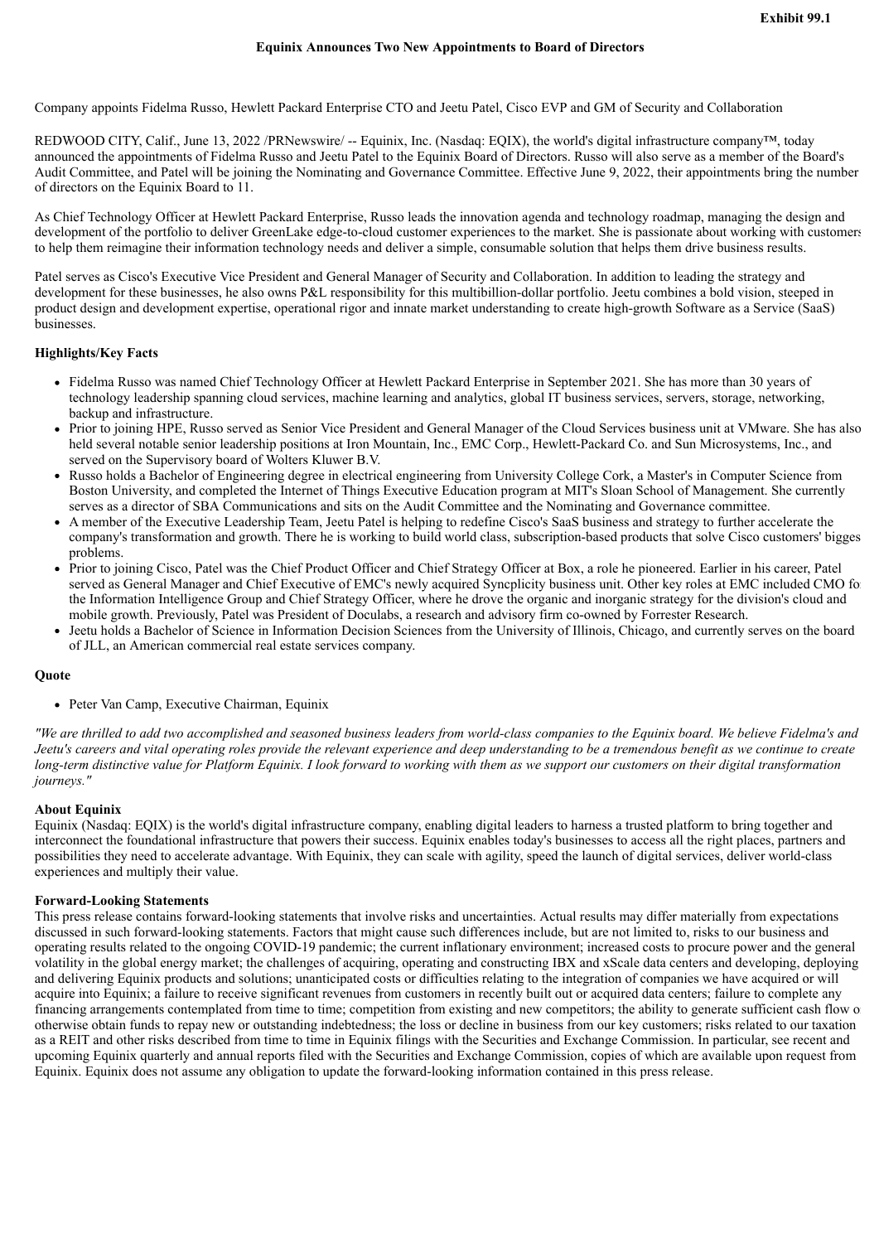<span id="page-3-0"></span>Company appoints Fidelma Russo, Hewlett Packard Enterprise CTO and Jeetu Patel, Cisco EVP and GM of Security and Collaboration

REDWOOD CITY, Calif., June 13, 2022 /PRNewswire/ -- Equinix, Inc. (Nasdaq: EQIX), the world's digital infrastructure company™, today announced the appointments of Fidelma Russo and Jeetu Patel to the Equinix Board of Directors. Russo will also serve as a member of the Board's Audit Committee, and Patel will be joining the Nominating and Governance Committee. Effective June 9, 2022, their appointments bring the number of directors on the Equinix Board to 11.

As Chief Technology Officer at Hewlett Packard Enterprise, Russo leads the innovation agenda and technology roadmap, managing the design and development of the portfolio to deliver GreenLake edge-to-cloud customer experiences to the market. She is passionate about working with customers to help them reimagine their information technology needs and deliver a simple, consumable solution that helps them drive business results.

Patel serves as Cisco's Executive Vice President and General Manager of Security and Collaboration. In addition to leading the strategy and development for these businesses, he also owns P&L responsibility for this multibillion-dollar portfolio. Jeetu combines a bold vision, steeped in product design and development expertise, operational rigor and innate market understanding to create high-growth Software as a Service (SaaS) businesses.

#### **Highlights/Key Facts**

- Fidelma Russo was named Chief Technology Officer at Hewlett Packard Enterprise in September 2021. She has more than 30 years of technology leadership spanning cloud services, machine learning and analytics, global IT business services, servers, storage, networking, backup and infrastructure.
- Prior to joining HPE, Russo served as Senior Vice President and General Manager of the Cloud Services business unit at VMware. She has also held several notable senior leadership positions at Iron Mountain, Inc., EMC Corp., Hewlett-Packard Co. and Sun Microsystems, Inc., and served on the Supervisory board of Wolters Kluwer B.V.
- Russo holds a Bachelor of Engineering degree in electrical engineering from University College Cork, a Master's in Computer Science from Boston University, and completed the Internet of Things Executive Education program at MIT's Sloan School of Management. She currently serves as a director of SBA Communications and sits on the Audit Committee and the Nominating and Governance committee.
- A member of the Executive Leadership Team, Jeetu Patel is helping to redefine Cisco's SaaS business and strategy to further accelerate the company's transformation and growth. There he is working to build world class, subscription-based products that solve Cisco customers' bigges problems.
- Prior to joining Cisco, Patel was the Chief Product Officer and Chief Strategy Officer at Box, a role he pioneered. Earlier in his career, Patel served as General Manager and Chief Executive of EMC's newly acquired Syncplicity business unit. Other key roles at EMC included CMO for the Information Intelligence Group and Chief Strategy Officer, where he drove the organic and inorganic strategy for the division's cloud and mobile growth. Previously, Patel was President of Doculabs, a research and advisory firm co-owned by Forrester Research.
- Jeetu holds a Bachelor of Science in Information Decision Sciences from the University of Illinois, Chicago, and currently serves on the board of JLL, an American commercial real estate services company.

#### **Quote**

• Peter Van Camp, Executive Chairman, Equinix

*"We are thrilled to add two accomplished and seasoned business leaders from world-class companies to the Equinix board. We believe Fidelma's and Jeetu's careers and vital operating roles provide the relevant experience and deep understanding to be a tremendous benefit as we continue to create long-term distinctive value for Platform Equinix. I look forward to working with them as we support our customers on their digital transformation journeys."*

#### **About Equinix**

Equinix (Nasdaq: EQIX) is the world's digital infrastructure company, enabling digital leaders to harness a trusted platform to bring together and interconnect the foundational infrastructure that powers their success. Equinix enables today's businesses to access all the right places, partners and possibilities they need to accelerate advantage. With Equinix, they can scale with agility, speed the launch of digital services, deliver world-class experiences and multiply their value.

#### **Forward-Looking Statements**

This press release contains forward-looking statements that involve risks and uncertainties. Actual results may differ materially from expectations discussed in such forward-looking statements. Factors that might cause such differences include, but are not limited to, risks to our business and operating results related to the ongoing COVID-19 pandemic; the current inflationary environment; increased costs to procure power and the general volatility in the global energy market; the challenges of acquiring, operating and constructing IBX and xScale data centers and developing, deploying and delivering Equinix products and solutions; unanticipated costs or difficulties relating to the integration of companies we have acquired or will acquire into Equinix; a failure to receive significant revenues from customers in recently built out or acquired data centers; failure to complete any financing arrangements contemplated from time to time; competition from existing and new competitors; the ability to generate sufficient cash flow or otherwise obtain funds to repay new or outstanding indebtedness; the loss or decline in business from our key customers; risks related to our taxation as a REIT and other risks described from time to time in Equinix filings with the Securities and Exchange Commission. In particular, see recent and upcoming Equinix quarterly and annual reports filed with the Securities and Exchange Commission, copies of which are available upon request from Equinix. Equinix does not assume any obligation to update the forward-looking information contained in this press release.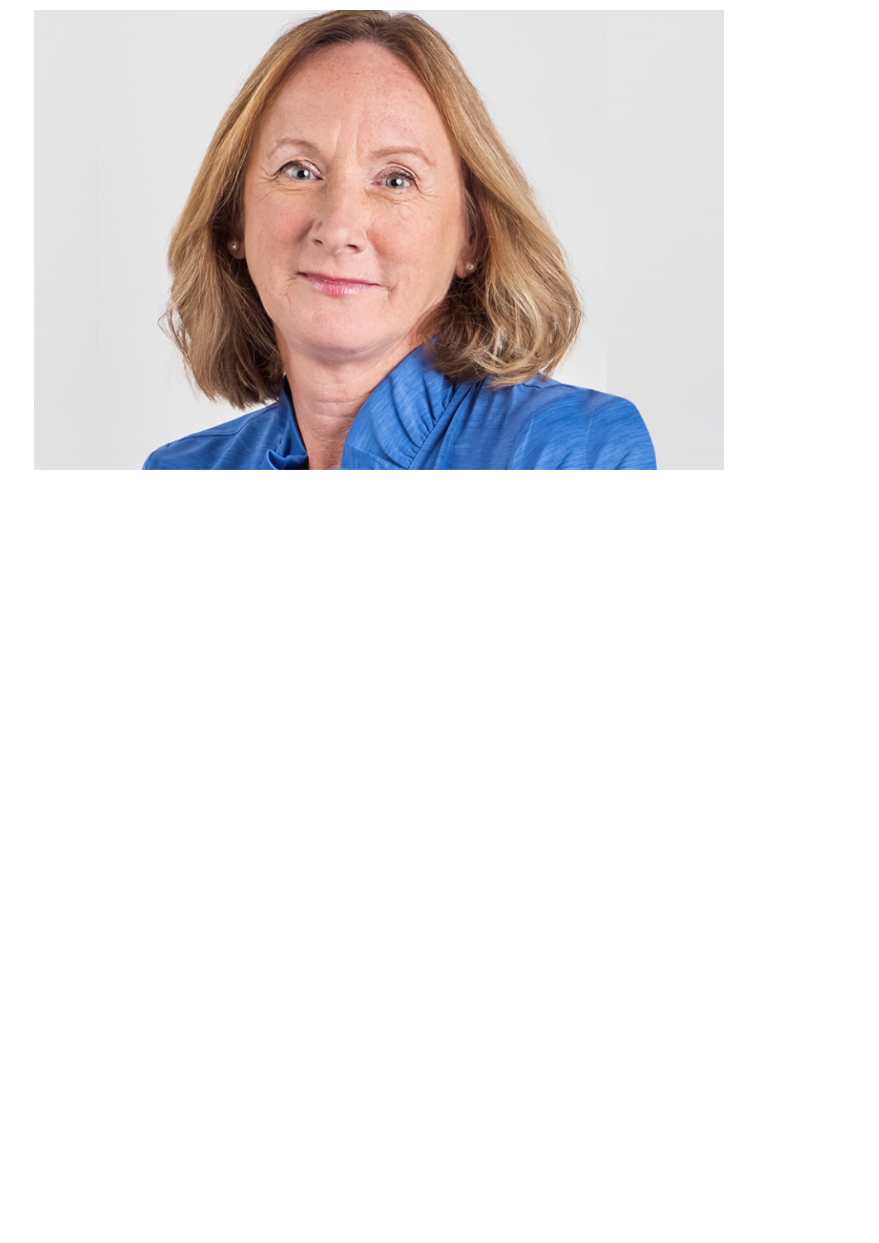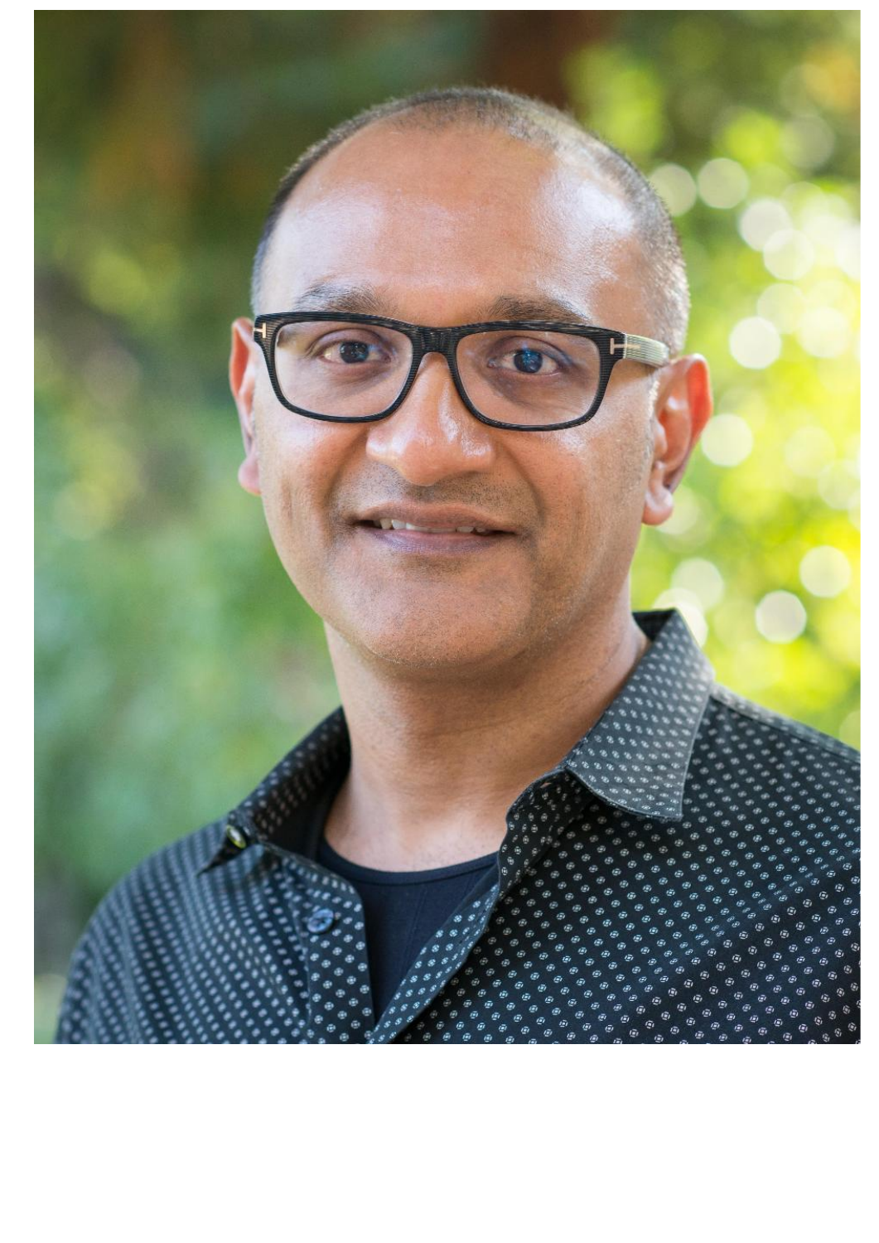